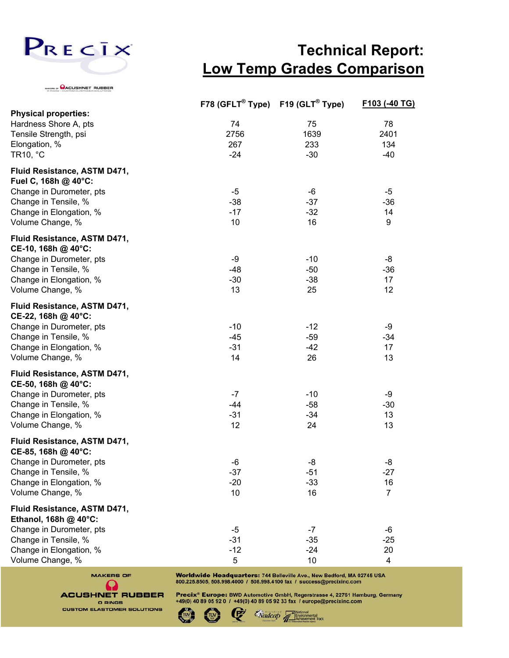

WINS CACUSHNET RUBBER

## **Technical Report: Low Temp Grades Comparison**

|                                                       | F78 (GFLT <sup>®</sup> Type) F19 (GLT <sup>®</sup> Type) |              | F103 (-40 TG)  |
|-------------------------------------------------------|----------------------------------------------------------|--------------|----------------|
| <b>Physical properties:</b>                           |                                                          |              |                |
| Hardness Shore A, pts                                 | 74                                                       | 75           | 78             |
| Tensile Strength, psi                                 | 2756                                                     | 1639         | 2401           |
| Elongation, %<br>TR10, °C                             | 267<br>$-24$                                             | 233<br>$-30$ | 134<br>$-40$   |
|                                                       |                                                          |              |                |
| Fluid Resistance, ASTM D471,<br>Fuel C, 168h @ 40°C:  |                                                          |              |                |
| Change in Durometer, pts                              | $-5$                                                     | -6           | $-5$           |
| Change in Tensile, %                                  | $-38$                                                    | $-37$        | $-36$          |
| Change in Elongation, %                               | $-17$                                                    | $-32$        | 14             |
| Volume Change, %                                      | 10                                                       | 16           | 9              |
| Fluid Resistance, ASTM D471,<br>CE-10, 168h @ 40°C:   |                                                          |              |                |
| Change in Durometer, pts                              | -9                                                       | $-10$        | -8             |
| Change in Tensile, %                                  | $-48$                                                    | $-50$        | $-36$          |
| Change in Elongation, %                               | $-30$                                                    | $-38$        | 17             |
| Volume Change, %                                      | 13                                                       | 25           | 12             |
| Fluid Resistance, ASTM D471,<br>CE-22, 168h @ 40°C:   |                                                          |              |                |
| Change in Durometer, pts                              | $-10$                                                    | $-12$        | -9             |
| Change in Tensile, %                                  | $-45$                                                    | $-59$        | $-34$          |
| Change in Elongation, %                               | $-31$                                                    | $-42$        | 17             |
| Volume Change, %                                      | 14                                                       | 26           | 13             |
| Fluid Resistance, ASTM D471,<br>CE-50, 168h @ 40°C:   |                                                          |              |                |
| Change in Durometer, pts                              | $-7$                                                     | $-10$        | -9             |
| Change in Tensile, %                                  | $-44$                                                    | $-58$        | $-30$          |
| Change in Elongation, %                               | $-31$                                                    | $-34$        | 13             |
| Volume Change, %                                      | 12                                                       | 24           | 13             |
| Fluid Resistance, ASTM D471,<br>CE-85, 168h @ 40°C:   |                                                          |              |                |
| Change in Durometer, pts                              | -6                                                       | -8           | -8             |
| Change in Tensile, %                                  | $-37$                                                    | $-51$        | $-27$          |
| Change in Elongation, %                               | $-20$                                                    | $-33$        | 16             |
| Volume Change, %                                      | 10                                                       | 16           | $\overline{7}$ |
| Fluid Resistance, ASTM D471,<br>Ethanol, 168h @ 40°C: |                                                          |              |                |
| Change in Durometer, pts                              | $-5$                                                     | $-7$         | $-6$           |
| Change in Tensile, %                                  | $-31$                                                    | $-35$        | $-25$          |
| Change in Elongation, %                               | $-12$                                                    | $-24$        | 20             |
| Volume Change, %                                      | 5                                                        | 10           | 4              |



Worldwide Headquarters: 744 Belleville Ave., New Bedford, MA 02745 USA 800.225.8505, 508.998.4000 / 508.998.4100 fax / success@precixinc.com

Precix® Europe: BWD Automotive GmbH, Regerstrasse 4, 22761 Hamburg, Germany +49(0) 40 89 05 92 0 / +49(0) 40 89 05 92 33 fax / europe@precixinc.com

Nadcap <sup>13</sup>

mental<br>ement Track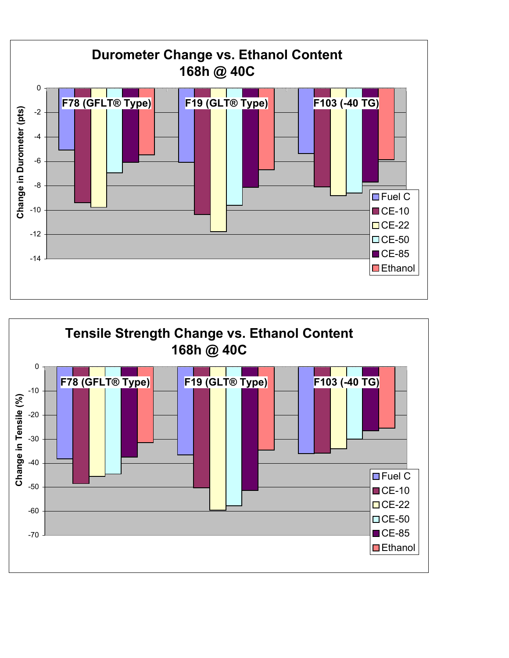